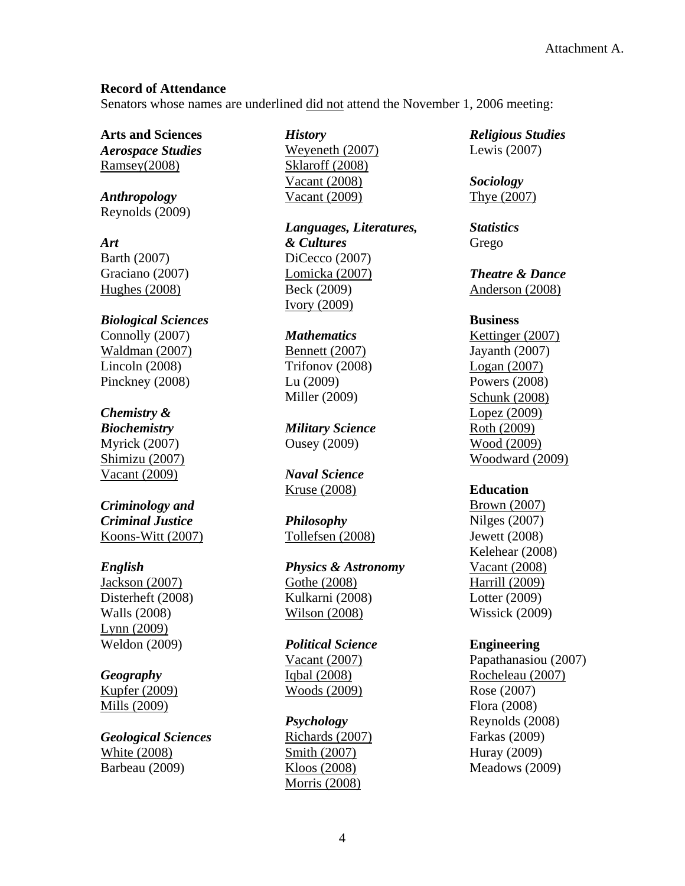## **Record of Attendance**

Senators whose names are underlined did not attend the November 1, 2006 meeting:

**Arts and Sciences**  *Aerospace Studies* Ramsey(2008)

*Anthropology* Reynolds (2009)

*Art*  Barth (2007) Graciano (2007) Hughes (2008)

*Biological Sciences* Connolly (2007) Waldman (2007) Lincoln (2008) Pinckney (2008)

# *Chemistry &*

*Biochemistry*  Myrick (2007) Shimizu (2007) Vacant (2009)

*Criminology and Criminal Justice*  Koons-Witt (2007)

## *English*

Jackson (2007) Disterheft (2008) Walls (2008) Lynn (2009) Weldon (2009)

# *Geography*

Kupfer (2009) Mills (2009)

*Geological Sciences*  White (2008) Barbeau (2009)

*History*  Weyeneth (2007) Sklaroff (2008) Vacant (2008) Vacant (2009)

*Languages, Literatures, & Cultures* DiCecco (2007) Lomicka (2007) Beck (2009) Ivory (2009)

#### *Mathematics*

Bennett (2007) Trifonov (2008) Lu (2009) Miller (2009)

*Military Science*  Ousey (2009)

*Naval Science*  Kruse (2008)

*Philosophy* Tollefsen (2008)

*Physics & Astronomy* Gothe (2008) Kulkarni (2008) Wilson (2008)

*Political Science*  Vacant (2007) Iqbal (2008) Woods (2009)

*Psychology* Richards (2007) Smith (2007) Kloos (2008) Morris (2008)

*Religious Studies*  Lewis (2007)

*Sociology*  Thye (2007)

*Statistics* Grego

*Theatre & Dance*  Anderson (2008)

#### **Business**

Kettinger (2007) Jayanth (2007) Logan (2007) Powers (2008) Schunk (2008) Lopez (2009) Roth (2009) Wood (2009) Woodward (2009)

## **Education**

Brown (2007) Nilges (2007) Jewett (2008) Kelehear (2008) Vacant (2008) Harrill (2009) Lotter (2009) Wissick (2009)

## **Engineering**

Papathanasiou (2007) Rocheleau (2007) Rose (2007) Flora (2008) Reynolds (2008) Farkas (2009) Huray (2009) Meadows (2009)